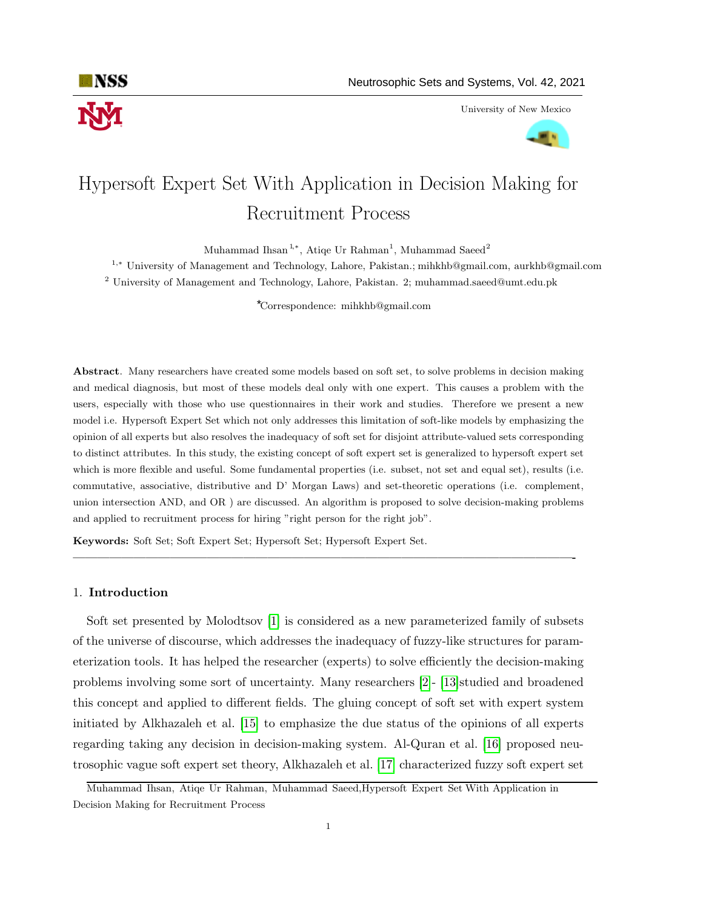

University of New Mexico



# Hypersoft Expert Set With Application in Decision Making for Recruitment Process

Muhammad Ihsan<sup>1,∗</sup>, Atiqe Ur Rahman<sup>1</sup>, Muhammad Saeed<sup>2</sup>

<sup>1</sup>,<sup>∗</sup> University of Management and Technology, Lahore, Pakistan.; mihkhb@gmail.com, aurkhb@gmail.com <sup>2</sup> University of Management and Technology, Lahore, Pakistan. 2; muhammad.saeed@umt.edu.pk

Correspondence: mihkhb@gmail.com \*

Abstract. Many researchers have created some models based on soft set, to solve problems in decision making and medical diagnosis, but most of these models deal only with one expert. This causes a problem with the users, especially with those who use questionnaires in their work and studies. Therefore we present a new model i.e. Hypersoft Expert Set which not only addresses this limitation of soft-like models by emphasizing the opinion of all experts but also resolves the inadequacy of soft set for disjoint attribute-valued sets corresponding to distinct attributes. In this study, the existing concept of soft expert set is generalized to hypersoft expert set which is more flexible and useful. Some fundamental properties (i.e. subset, not set and equal set), results (i.e. commutative, associative, distributive and D' Morgan Laws) and set-theoretic operations (i.e. complement, union intersection AND, and OR ) are discussed. An algorithm is proposed to solve decision-making problems and applied to recruitment process for hiring "right person for the right job".

—————————————————————————————————————————-

Keywords: Soft Set; Soft Expert Set; Hypersoft Set; Hypersoft Expert Set.

#### 1. Introduction

Soft set presented by Molodtsov [\[1\]](#page-15-0) is considered as a new parameterized family of subsets of the universe of discourse, which addresses the inadequacy of fuzzy-like structures for parameterization tools. It has helped the researcher (experts) to solve efficiently the decision-making problems involving some sort of uncertainty. Many researchers [\[2\]](#page-15-1)- [\[13\]](#page-15-2)studied and broadened this concept and applied to different fields. The gluing concept of soft set with expert system initiated by Alkhazaleh et al. [\[15\]](#page-15-3) to emphasize the due status of the opinions of all experts regarding taking any decision in decision-making system. Al-Quran et al. [\[16\]](#page-15-4) proposed neutrosophic vague soft expert set theory, Alkhazaleh et al. [\[17\]](#page-15-5) characterized fuzzy soft expert set

Muhammad Ihsan, Atiqe Ur Rahman, Muhammad Saeed,Hypersoft Expert Set With Application in Decision Making for Recruitment Process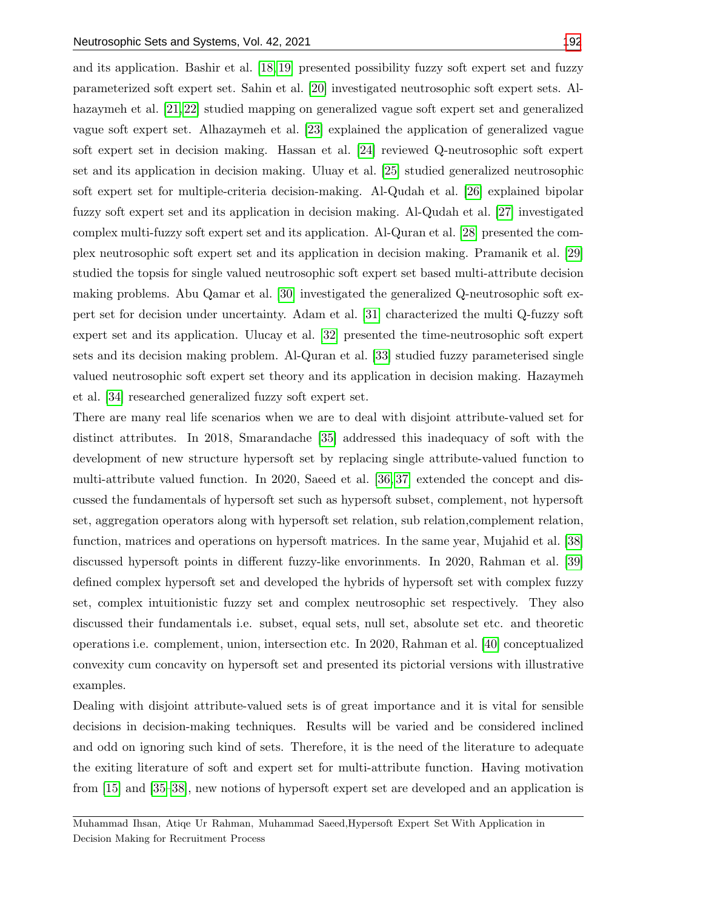and its application. Bashir et al. [\[18,](#page-15-6) [19\]](#page-15-7) presented possibility fuzzy soft expert set and fuzzy parameterized soft expert set. Sahin et al. [\[20\]](#page-15-8) investigated neutrosophic soft expert sets. Al-hazaymeh et al. [\[21,](#page-15-9) [22\]](#page-16-1) studied mapping on generalized vague soft expert set and generalized vague soft expert set. Alhazaymeh et al. [\[23\]](#page-16-2) explained the application of generalized vague soft expert set in decision making. Hassan et al. [\[24\]](#page-16-3) reviewed Q-neutrosophic soft expert set and its application in decision making. Uluay et al. [\[25\]](#page-16-4) studied generalized neutrosophic soft expert set for multiple-criteria decision-making. Al-Qudah et al. [\[26\]](#page-16-5) explained bipolar fuzzy soft expert set and its application in decision making. Al-Qudah et al. [\[27\]](#page-16-6) investigated complex multi-fuzzy soft expert set and its application. Al-Quran et al. [\[28\]](#page-16-7) presented the complex neutrosophic soft expert set and its application in decision making. Pramanik et al. [\[29\]](#page-16-8) studied the topsis for single valued neutrosophic soft expert set based multi-attribute decision making problems. Abu Qamar et al. [\[30\]](#page-16-9) investigated the generalized Q-neutrosophic soft expert set for decision under uncertainty. Adam et al. [\[31\]](#page-16-10) characterized the multi Q-fuzzy soft expert set and its application. Ulucay et al. [\[32\]](#page-16-11) presented the time-neutrosophic soft expert sets and its decision making problem. Al-Quran et al. [\[33\]](#page-16-12) studied fuzzy parameterised single valued neutrosophic soft expert set theory and its application in decision making. Hazaymeh et al. [\[34\]](#page-16-13) researched generalized fuzzy soft expert set.

There are many real life scenarios when we are to deal with disjoint attribute-valued set for distinct attributes. In 2018, Smarandache [\[35\]](#page-16-14) addressed this inadequacy of soft with the development of new structure hypersoft set by replacing single attribute-valued function to multi-attribute valued function. In 2020, Saeed et al. [\[36,](#page-16-15) [37\]](#page-16-16) extended the concept and discussed the fundamentals of hypersoft set such as hypersoft subset, complement, not hypersoft set, aggregation operators along with hypersoft set relation, sub relation,complement relation, function, matrices and operations on hypersoft matrices. In the same year, Mujahid et al. [\[38\]](#page-16-17) discussed hypersoft points in different fuzzy-like envorinments. In 2020, Rahman et al. [\[39\]](#page-16-18) defined complex hypersoft set and developed the hybrids of hypersoft set with complex fuzzy set, complex intuitionistic fuzzy set and complex neutrosophic set respectively. They also discussed their fundamentals i.e. subset, equal sets, null set, absolute set etc. and theoretic operations i.e. complement, union, intersection etc. In 2020, Rahman et al. [\[40\]](#page-16-19) conceptualized convexity cum concavity on hypersoft set and presented its pictorial versions with illustrative examples.

Dealing with disjoint attribute-valued sets is of great importance and it is vital for sensible decisions in decision-making techniques. Results will be varied and be considered inclined and odd on ignoring such kind of sets. Therefore, it is the need of the literature to adequate the exiting literature of soft and expert set for multi-attribute function. Having motivation from [\[15\]](#page-15-3) and [\[35](#page-16-14)[–38\]](#page-16-17), new notions of hypersoft expert set are developed and an application is

Muhammad Ihsan, Atiqe Ur Rahman, Muhammad Saeed,Hypersoft Expert Set With Application in Decision Making for Recruitment Process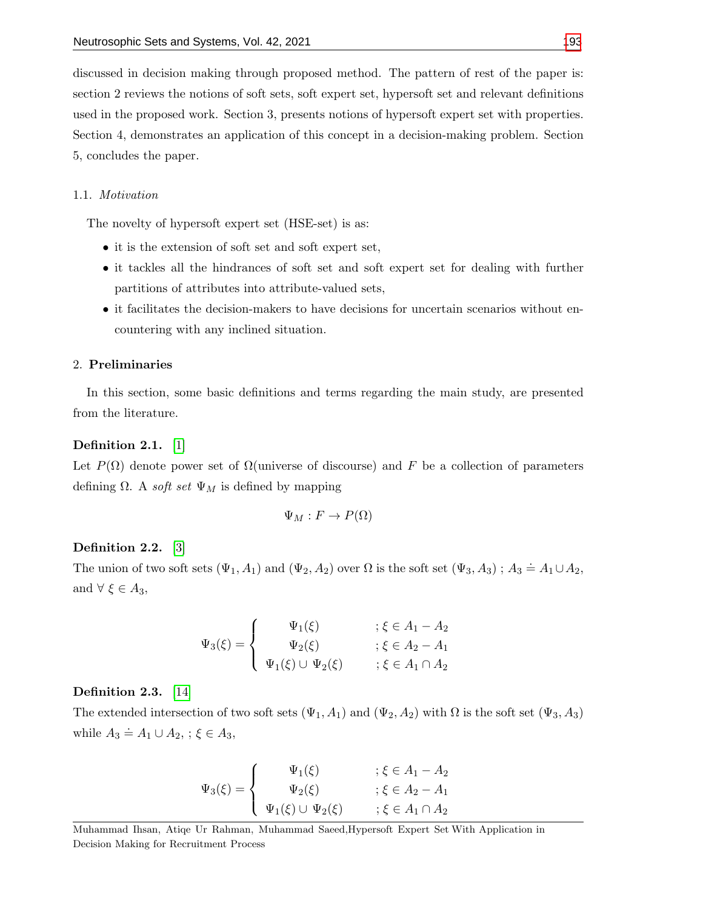discussed in decision making through proposed method. The pattern of rest of the paper is: section 2 reviews the notions of soft sets, soft expert set, hypersoft set and relevant definitions used in the proposed work. Section 3, presents notions of hypersoft expert set with properties. Section 4, demonstrates an application of this concept in a decision-making problem. Section 5, concludes the paper.

#### 1.1. Motivation

The novelty of hypersoft expert set (HSE-set) is as:

- it is the extension of soft set and soft expert set,
- it tackles all the hindrances of soft set and soft expert set for dealing with further partitions of attributes into attribute-valued sets,
- it facilitates the decision-makers to have decisions for uncertain scenarios without encountering with any inclined situation.

#### 2. Preliminaries

In this section, some basic definitions and terms regarding the main study, are presented from the literature.

#### Definition 2.1. [\[1\]](#page-15-0)

Let  $P(\Omega)$  denote power set of  $\Omega$ (universe of discourse) and F be a collection of parameters defining  $\Omega$ . A *soft set*  $\Psi_M$  is defined by mapping

$$
\Psi_M : F \to P(\Omega)
$$

# Definition 2.2. [\[3\]](#page-15-10)

The union of two soft sets  $(\Psi_1, A_1)$  and  $(\Psi_2, A_2)$  over  $\Omega$  is the soft set  $(\Psi_3, A_3)$ ;  $A_3 \doteq A_1 \cup A_2$ , and  $\forall \xi \in A_3$ ,

$$
\Psi_3(\xi) = \begin{cases}\n\Psi_1(\xi) & ; \xi \in A_1 - A_2 \\
\Psi_2(\xi) & ; \xi \in A_2 - A_1 \\
\Psi_1(\xi) \cup \Psi_2(\xi) & ; \xi \in A_1 \cap A_2\n\end{cases}
$$

#### Definition 2.3. [\[14\]](#page-15-11)

The extended intersection of two soft sets  $(\Psi_1, A_1)$  and  $(\Psi_2, A_2)$  with  $\Omega$  is the soft set  $(\Psi_3, A_3)$ while  $A_3 \doteq A_1 \cup A_2$ , ;  $\xi \in A_3$ ,

$$
\Psi_3(\xi) = \begin{cases}\n\Psi_1(\xi) & ; \xi \in A_1 - A_2 \\
\Psi_2(\xi) & ; \xi \in A_2 - A_1 \\
\Psi_1(\xi) \cup \Psi_2(\xi) & ; \xi \in A_1 \cap A_2\n\end{cases}
$$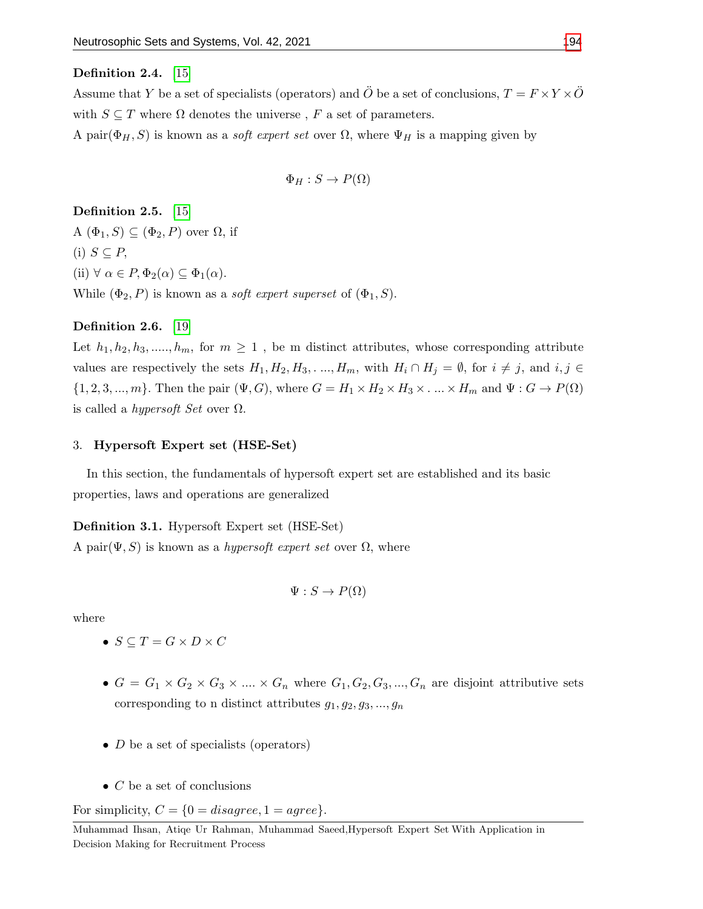#### Definition 2.4. [\[15\]](#page-15-3)

Assume that Y be a set of specialists (operators) and  $\ddot{O}$  be a set of conclusions,  $T = F \times Y \times \ddot{O}$ with  $S \subseteq T$  where  $\Omega$  denotes the universe, F a set of parameters. A pair $(\Phi_H, S)$  is known as a *soft expert set* over  $\Omega$ , where  $\Psi_H$  is a mapping given by

$$
\Phi_H : S \to P(\Omega)
$$

Definition 2.5. [\[15\]](#page-15-3)

A  $(\Phi_1, S) \subseteq (\Phi_2, P)$  over  $\Omega$ , if (i)  $S \subseteq P$ , (ii)  $\forall \alpha \in P, \Phi_2(\alpha) \subseteq \Phi_1(\alpha)$ . While  $(\Phi_2, P)$  is known as a *soft expert superset* of  $(\Phi_1, S)$ .

## Definition 2.6. [\[19\]](#page-15-7)

Let  $h_1, h_2, h_3, \ldots, h_m$ , for  $m \geq 1$ , be m distinct attributes, whose corresponding attribute values are respectively the sets  $H_1, H_2, H_3, \ldots, H_m$ , with  $H_i \cap H_j = \emptyset$ , for  $i \neq j$ , and  $i, j \in$  $\{1, 2, 3, ..., m\}$ . Then the pair  $(\Psi, G)$ , where  $G = H_1 \times H_2 \times H_3 \times ... \times H_m$  and  $\Psi : G \to P(\Omega)$ is called a *hypersoft Set* over  $\Omega$ .

#### 3. Hypersoft Expert set (HSE-Set)

In this section, the fundamentals of hypersoft expert set are established and its basic properties, laws and operations are generalized

<span id="page-3-0"></span>Definition 3.1. Hypersoft Expert set (HSE-Set)

A pair $(\Psi, S)$  is known as a *hypersoft expert set* over  $\Omega$ , where

$$
\Psi: S \to P(\Omega)
$$

where

- $S \subseteq T = G \times D \times C$
- $G = G_1 \times G_2 \times G_3 \times \dots \times G_n$  where  $G_1, G_2, G_3, \dots, G_n$  are disjoint attributive sets corresponding to n distinct attributes  $g_1, g_2, g_3, ..., g_n$
- $D$  be a set of specialists (operators)
- $\bullet$  C be a set of conclusions

For simplicity,  $C = \{0 = disagree, 1 = agree\}.$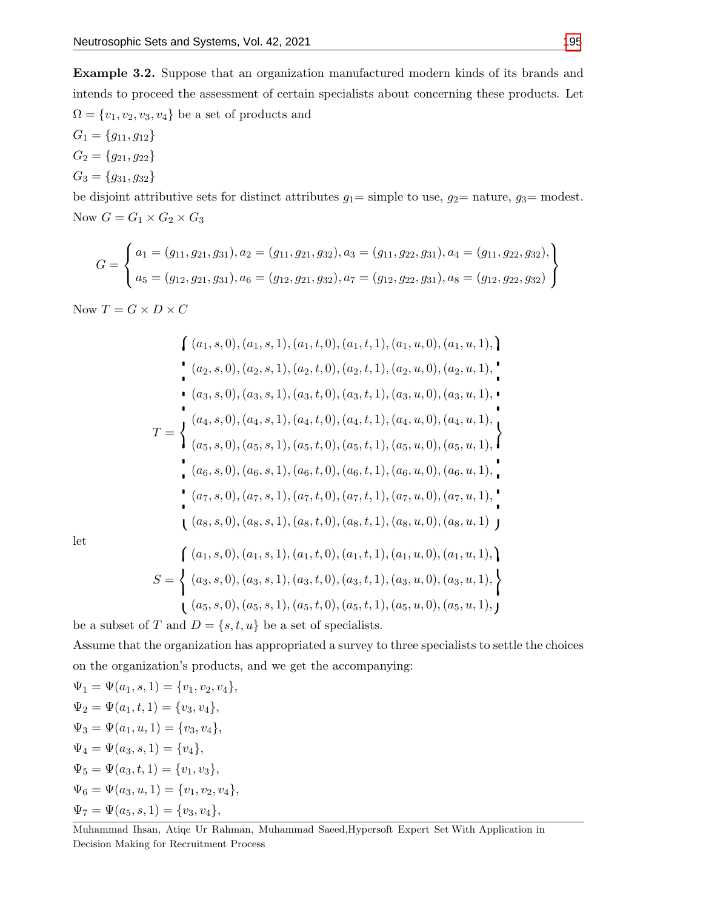<span id="page-4-0"></span>Example 3.2. Suppose that an organization manufactured modern kinds of its brands and intends to proceed the assessment of certain specialists about concerning these products. Let  $\Omega = \{v_1, v_2, v_3, v_4\}$  be a set of products and

 $G_1 = \{g_{11}, g_{12}\}\$  $G_2 = \{g_{21}, g_{22}\}\$  $G_3 = \{g_{31}, g_{32}\}\$ 

be disjoint attributive sets for distinct attributes  $g_1 =$  simple to use,  $g_2 =$  nature,  $g_3 =$  modest. Now  $G=G_1\times G_2\times G_3$ 

$$
G = \left\{ \begin{aligned} a_1 &= (g_{11}, g_{21}, g_{31}), a_2 = (g_{11}, g_{21}, g_{32}), a_3 = (g_{11}, g_{22}, g_{31}), a_4 = (g_{11}, g_{22}, g_{32}), \\ a_5 &= (g_{12}, g_{21}, g_{31}), a_6 = (g_{12}, g_{21}, g_{32}), a_7 = (g_{12}, g_{22}, g_{31}), a_8 = (g_{12}, g_{22}, g_{32}) \end{aligned} \right\}
$$

Now  $T = G \times D \times C$ 

$$
\begin{aligned}\n&\left\{\n\begin{array}{l}\n(a_1, s, 0), (a_1, s, 1), (a_1, t, 0), (a_1, t, 1), (a_1, u, 0), (a_1, u, 1),\n\end{array}\n\right. \\
&\left.\n\begin{array}{l}\n(a_2, s, 0), (a_2, s, 1), (a_2, t, 0), (a_2, t, 1), (a_2, u, 0), (a_2, u, 1),\n\end{array}\n\right. \\
&\left.\n\begin{array}{l}\n(a_3, s, 0), (a_3, s, 1), (a_3, t, 0), (a_3, t, 1), (a_3, u, 0), (a_3, u, 1),\n\end{array}\n\right. \\
&\left.\n\begin{array}{l}\n(a_4, s, 0), (a_4, s, 1), (a_4, t, 0), (a_4, t, 1), (a_4, u, 0), (a_4, u, 1),\n\end{array}\n\right. \\
&\left.\n\begin{array}{l}\n(a_5, s, 0), (a_5, s, 1), (a_5, t, 0), (a_5, t, 1), (a_5, u, 0), (a_5, u, 1),\n\end{array}\n\right. \\
&\left.\n\begin{array}{l}\n(a_6, s, 0), (a_6, s, 1), (a_6, t, 0), (a_6, t, 1), (a_6, u, 0), (a_6, u, 1),\n\end{array}\n\right. \\
&\left.\n\begin{array}{l}\n(a_7, s, 0), (a_7, s, 1), (a_7, t, 0), (a_7, t, 1), (a_7, u, 0), (a_7, u, 1),\n\end{array}\n\right. \\
&\left.\n\begin{array}{l}\n(a_1, s, 0), (a_1, s, 1), (a_1, t, 0), (a_1, t, 1), (a_1, u, 0), (a_1, u, 1),\n\end{array}\n\right)\n\end{aligned}
$$

let

$$
S = \left\{ (a_1, s, 0), (a_1, s, 1), (a_1, t, 0), (a_1, t, 1), (a_1, u, 0), (a_1, u, 1), \right\}
$$

$$
S = \left\{ (a_3, s, 0), (a_3, s, 1), (a_3, t, 0), (a_3, t, 1), (a_3, u, 0), (a_3, u, 1), \right\}
$$

$$
(a_5, s, 0), (a_5, s, 1), (a_5, t, 0), (a_5, t, 1), (a_5, u, 0), (a_5, u, 1),
$$

be a subset of T and  $D = \{s, t, u\}$  be a set of specialists.

Assume that the organization has appropriated a survey to three specialists to settle the choices on the organization's products, and we get the accompanying:

 $\Psi_1 = \Psi(a_1, s, 1) = \{v_1, v_2, v_4\},\$  $\Psi_2 = \Psi(a_1, t, 1) = \{v_3, v_4\},\$  $\Psi_3 = \Psi(a_1, u, 1) = \{v_3, v_4\},\$  $\Psi_4 = \Psi(a_3, s, 1) = \{v_4\},\$  $\Psi_5 = \Psi(a_3, t, 1) = \{v_1, v_3\},\$  $\Psi_6 = \Psi(a_3, u, 1) = \{v_1, v_2, v_4\},\$  $\Psi_7 = \Psi(a_5, s, 1) = \{v_3, v_4\},\,$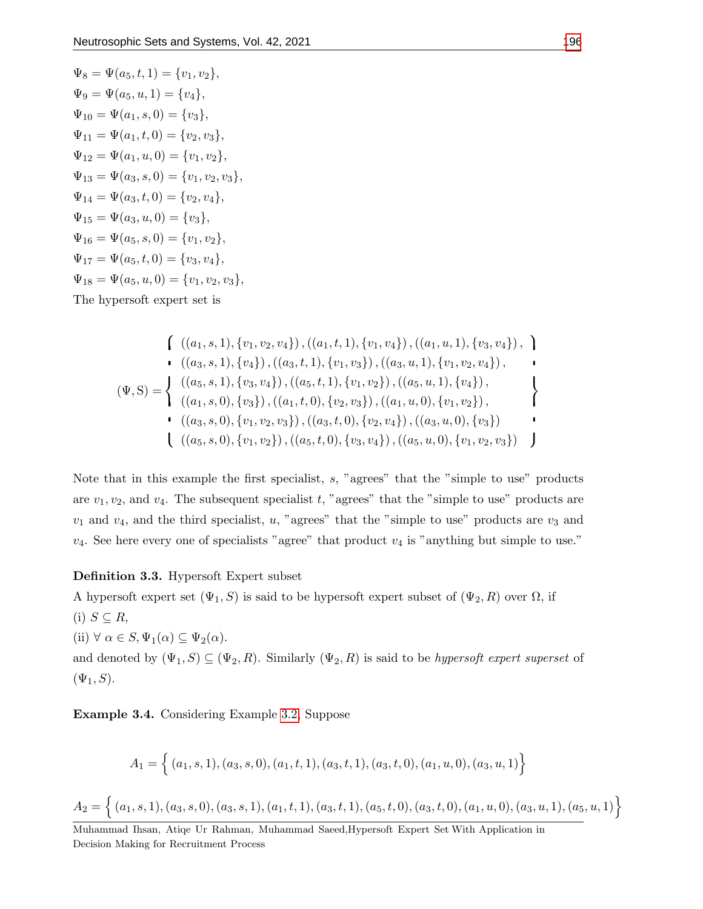$$
\Psi_8 = \Psi(a_5, t, 1) = \{v_1, v_2\},
$$
  
\n
$$
\Psi_9 = \Psi(a_5, u, 1) = \{v_4\},
$$
  
\n
$$
\Psi_{10} = \Psi(a_1, s, 0) = \{v_3\},
$$
  
\n
$$
\Psi_{11} = \Psi(a_1, t, 0) = \{v_2, v_3\},
$$
  
\n
$$
\Psi_{12} = \Psi(a_1, u, 0) = \{v_1, v_2\},
$$
  
\n
$$
\Psi_{13} = \Psi(a_3, s, 0) = \{v_1, v_2, v_3\},
$$
  
\n
$$
\Psi_{14} = \Psi(a_3, t, 0) = \{v_2, v_4\},
$$
  
\n
$$
\Psi_{15} = \Psi(a_3, u, 0) = \{v_3\},
$$
  
\n
$$
\Psi_{16} = \Psi(a_5, s, 0) = \{v_1, v_2\},
$$
  
\n
$$
\Psi_{17} = \Psi(a_5, t, 0) = \{v_3, v_4\},
$$
  
\n
$$
\Psi_{18} = \Psi(a_5, u, 0) = \{v_1, v_2, v_3\},
$$
  
\nThe hypersoft expert set is

$$
\begin{aligned}\n&\left(\begin{array}{c}\n((a_1, s, 1), \{v_1, v_2, v_4\}\n), ((a_1, t, 1), \{v_1, v_4\}\n), ((a_1, u, 1), \{v_3, v_4\}\n), \\
((a_3, s, 1), \{v_4\}\n), ((a_3, t, 1), \{v_1, v_3\}\n), ((a_3, u, 1), \{v_1, v_2, v_4\}\n), \\
&\left(\Psi, S\right) = \n\end{array}\right\} \\
&\left(\begin{array}{c}\n((a_5, s, 1), \{v_3, v_4\}\n), ((a_5, t, 1), \{v_1, v_2\}\n), ((a_5, u, 1), \{v_4\}\n), \\
((a_1, s, 0), \{v_3\}\n), ((a_1, t, 0), \{v_2, v_3\}\n), ((a_1, u, 0), \{v_1, v_2\}\n), \\
&\left((a_3, s, 0), \{v_1, v_2, v_3\}\n), ((a_3, t, 0), \{v_2, v_4\}\n), ((a_3, u, 0), \{v_1, v_2, v_3\}\n)\n\end{array}\right\}.\n\end{aligned}
$$

Note that in this example the first specialist, s, "agrees" that the "simple to use" products are  $v_1, v_2$ , and  $v_4$ . The subsequent specialist t, "agrees" that the "simple to use" products are  $v_1$  and  $v_4$ , and the third specialist, u, "agrees" that the "simple to use" products are  $v_3$  and  $v_4$ . See here every one of specialists "agree" that product  $v_4$  is "anything but simple to use."

# Definition 3.3. Hypersoft Expert subset

A hypersoft expert set  $(\Psi_1, S)$  is said to be hypersoft expert subset of  $(\Psi_2, R)$  over  $\Omega$ , if (i)  $S \subseteq R$ ,

(ii)  $\forall \alpha \in S, \Psi_1(\alpha) \subseteq \Psi_2(\alpha)$ .

and denoted by  $(\Psi_1, S) \subseteq (\Psi_2, R)$ . Similarly  $(\Psi_2, R)$  is said to be *hypersoft expert superset* of  $(\Psi_1, S)$ .

Example 3.4. Considering Example [3.2,](#page-4-0) Suppose

$$
A_1 = \{ (a_1, s, 1), (a_3, s, 0), (a_1, t, 1), (a_3, t, 1), (a_3, t, 0), (a_1, u, 0), (a_3, u, 1) \}
$$

$$
A_2 = \{ (a_1, s, 1), (a_3, s, 0), (a_3, s, 1), (a_1, t, 1), (a_3, t, 1), (a_5, t, 0), (a_3, t, 0), (a_1, u, 0), (a_3, u, 1), (a_5, u, 1) \}
$$

Muhammad Ihsan, Atiqe Ur Rahman, Muhammad Saeed,Hypersoft Expert Set With Application in Decision Making for Recruitment Process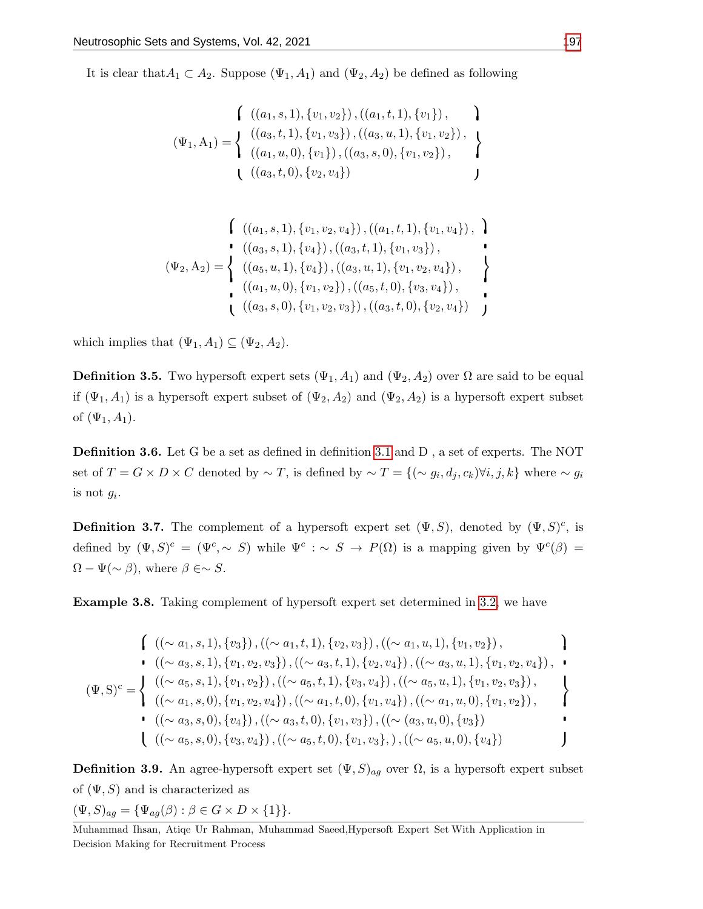It is clear that  $A_1 \subset A_2$ . Suppose  $(\Psi_1, A_1)$  and  $(\Psi_2, A_2)$  be defined as following

$$
\begin{aligned}\n\left\{\n\begin{array}{c}\n((a_1, s, 1), \{v_1, v_2\}), ((a_1, t, 1), \{v_1\}), \\
(\Psi_1, A_1) = \n\end{array}\n\right\} \\
(\Psi_2, A_2) = \n\left\{\n\begin{array}{c}\n((a_3, t, 1), \{v_1, v_3\}), ((a_3, u, 1), \{v_1, v_2\}), \\
((a_1, u, 0), \{v_1\}), ((a_3, s, 0), \{v_1, v_2\}), \\
((a_3, t, 0), \{v_2, v_4\})\n\end{array}\n\right\}\n\end{aligned}
$$

$$
\begin{aligned}\n\left\{\n\begin{array}{c}\n((a_1, s, 1), \{v_1, v_2, v_4\}), ((a_1, t, 1), \{v_1, v_4\}), \\
((a_3, s, 1), \{v_4\}), ((a_3, t, 1), \{v_1, v_3\}),\n\end{array}\n\right\} \\
(\Psi_2, \Lambda_2) = \n\left\{\n\begin{array}{c}\n((a_5, u, 1), \{v_4\}), ((a_3, u, 1), \{v_1, v_2, v_4\}), \\
((a_1, u, 0), \{v_1, v_2\}), ((a_5, t, 0), \{v_3, v_4\}), \\
((a_3, s, 0), \{v_1, v_2, v_3\}), ((a_3, t, 0), \{v_2, v_4\})\n\end{array}\n\right\}\n\end{aligned}
$$

which implies that  $(\Psi_1, A_1) \subseteq (\Psi_2, A_2)$ .

**Definition 3.5.** Two hypersoft expert sets  $(\Psi_1, A_1)$  and  $(\Psi_2, A_2)$  over  $\Omega$  are said to be equal if  $(\Psi_1, A_1)$  is a hypersoft expert subset of  $(\Psi_2, A_2)$  and  $(\Psi_2, A_2)$  is a hypersoft expert subset of  $(\Psi_1, A_1)$ .

Definition 3.6. Let G be a set as defined in definition [3.1](#page-3-0) and D , a set of experts. The NOT set of  $T = G \times D \times C$  denoted by  $\sim T$ , is defined by  $\sim T = \{ (\sim g_i, d_j, c_k) \forall i, j, k \}$  where  $\sim g_i$ is not  $q_i$ .

**Definition 3.7.** The complement of a hypersoft expert set  $(\Psi, S)$ , denoted by  $(\Psi, S)^c$ , is defined by  $(\Psi, S)^c = (\Psi^c, \sim S)$  while  $\Psi^c : \sim S \to P(\Omega)$  is a mapping given by  $\Psi^c(\beta) =$  $\Omega - \Psi(\sim \beta)$ , where  $\beta \in \sim S$ .

Example 3.8. Taking complement of hypersoft expert set determined in [3.2,](#page-4-0) we have

$$
\begin{aligned}\n&\left(\begin{array}{c}\n(\sim a_1, s, 1), \{v_3\}, \left((\sim a_1, t, 1), \{v_2, v_3\}\right), \left((\sim a_1, u, 1), \{v_1, v_2\}\right), \\
&\bullet \quad (\left(\sim a_3, s, 1\right), \{v_1, v_2, v_3\}\right), \left((\sim a_3, t, 1), \{v_2, v_4\}\right), \left((\sim a_3, u, 1), \{v_1, v_2, v_4\}\right), \\
&\bullet \\
&\left(\Psi, S\right)^c = \n\begin{cases}\n&\left((\sim a_5, s, 1), \{v_1, v_2\}\right), \left((\sim a_5, t, 1), \{v_3, v_4\}\right), \left((\sim a_5, u, 1), \{v_1, v_2, v_3\}\right), \\
&\left((\sim a_1, s, 0), \{v_1, v_2, v_4\}\right), \left((\sim a_1, t, 0), \{v_1, v_4\}\right), \left((\sim a_1, u, 0), \{v_1, v_2\}\right), \\
&\bullet \quad (\left((\sim a_3, s, 0), \{v_4\}\right), \left((\sim a_3, t, 0), \{v_1, v_3\}\right), \left((\sim (a_3, u, 0), \{v_3\}\right)\right)\n\end{cases} \\
&\bullet \quad \begin{cases}\n&\left((\sim a_5, s, 0), \{v_4\}\right), \left((\sim a_5, t, 0), \{v_1, v_3\}\right), \left((\sim a_5, u, 0), \{v_4\}\right)\n\end{cases}\n\end{aligned}
$$

**Definition 3.9.** An agree-hypersoft expert set  $(\Psi, S)_{ag}$  over  $\Omega$ , is a hypersoft expert subset of  $(\Psi, S)$  and is characterized as

$$
(\Psi, S)_{ag} = {\Psi_{ag}(\beta) : \beta \in G \times D \times \{1\}}.
$$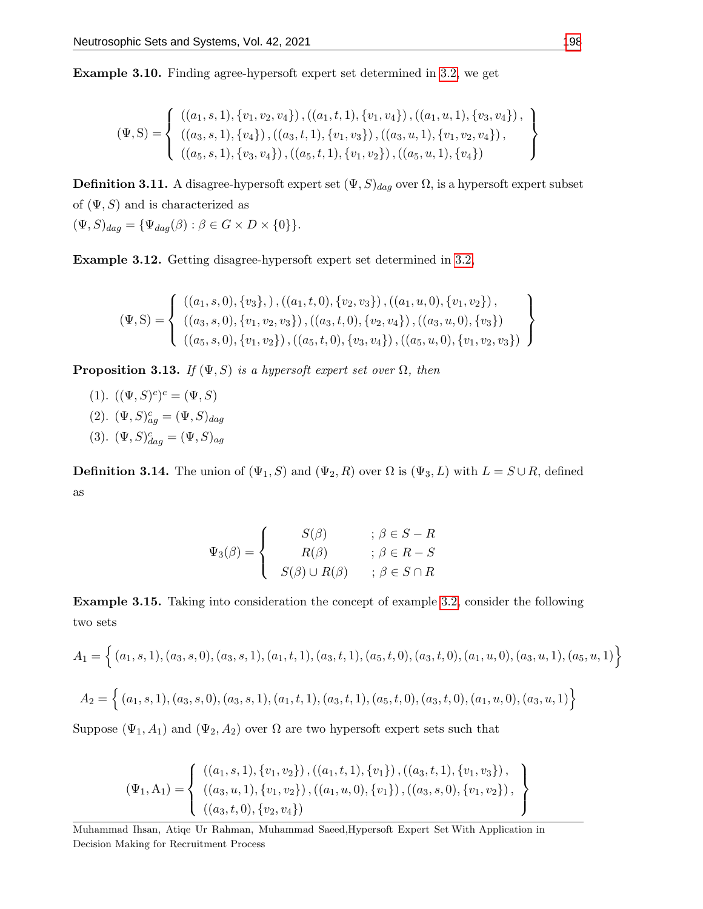Example 3.10. Finding agree-hypersoft expert set determined in [3.2,](#page-4-0) we get

$$
(\Psi, S) = \left\{ \begin{array}{l} ((a_1, s, 1), \{v_1, v_2, v_4\}), ((a_1, t, 1), \{v_1, v_4\}), ((a_1, u, 1), \{v_3, v_4\}), \\ ((a_3, s, 1), \{v_4\}), ((a_3, t, 1), \{v_1, v_3\}), ((a_3, u, 1), \{v_1, v_2, v_4\}), \\ ((a_5, s, 1), \{v_3, v_4\}), ((a_5, t, 1), \{v_1, v_2\}), ((a_5, u, 1), \{v_4\}) \end{array} \right\}
$$

**Definition 3.11.** A disagree-hypersoft expert set  $(\Psi, S)_{dag}$  over  $\Omega$ , is a hypersoft expert subset of  $(\Psi, S)$  and is characterized as

 $(\Psi, S)_{dag} = {\Psi_{dag}(\beta) : \beta \in G \times D \times \{0\}}.$ 

Example 3.12. Getting disagree-hypersoft expert set determined in [3.2,](#page-4-0)

$$
(\Psi, S) = \left\{ \begin{array}{l} ((a_1, s, 0), \{v_3\},), ((a_1, t, 0), \{v_2, v_3\}), ((a_1, u, 0), \{v_1, v_2\}), \\ ((a_3, s, 0), \{v_1, v_2, v_3\}), ((a_3, t, 0), \{v_2, v_4\}), ((a_3, u, 0), \{v_3\}) \\ ((a_5, s, 0), \{v_1, v_2\}), ((a_5, t, 0), \{v_3, v_4\}), ((a_5, u, 0), \{v_1, v_2, v_3\}) \end{array} \right\}
$$

**Proposition 3.13.** If  $(\Psi, S)$  is a hypersoft expert set over  $\Omega$ , then

(1).  $((\Psi, S)^c)^c = (\Psi, S)$ (2).  $(\Psi, S)_{ag}^c = (\Psi, S)_{dag}$ (3).  $(\Psi, S)^c_{dag} = (\Psi, S)_{ag}$ 

**Definition 3.14.** The union of  $(\Psi_1, S)$  and  $(\Psi_2, R)$  over  $\Omega$  is  $(\Psi_3, L)$  with  $L = S \cup R$ , defined as

$$
\Psi_3(\beta) = \begin{cases}\nS(\beta) & ; \beta \in S - R \\
R(\beta) & ; \beta \in R - S \\
S(\beta) \cup R(\beta) & ; \beta \in S \cap R\n\end{cases}
$$

Example 3.15. Taking into consideration the concept of example [3.2,](#page-4-0) consider the following two sets

$$
A_1 = \left\{ (a_1, s, 1), (a_3, s, 0), (a_3, s, 1), (a_1, t, 1), (a_3, t, 1), (a_5, t, 0), (a_3, t, 0), (a_1, u, 0), (a_3, u, 1), (a_5, u, 1) \right\}
$$
  

$$
A_2 = \left\{ (a_1, s, 1), (a_3, s, 0), (a_3, s, 1), (a_1, t, 1), (a_3, t, 1), (a_5, t, 0), (a_3, t, 0), (a_1, u, 0), (a_3, u, 1) \right\}
$$

Suppose  $(\Psi_1, A_1)$  and  $(\Psi_2, A_2)$  over  $\Omega$  are two hypersoft expert sets such that

$$
(\Psi_1, A_1) = \left\{ \begin{array}{l} \left( (a_1, s, 1), \{v_1, v_2\} \right), \left( (a_1, t, 1), \{v_1\} \right), \left( (a_3, t, 1), \{v_1, v_3\} \right), \\ \left( (a_3, u, 1), \{v_1, v_2\} \right), \left( (a_1, u, 0), \{v_1\} \right), \left( (a_3, s, 0), \{v_1, v_2\} \right), \\ \left( (a_3, t, 0), \{v_2, v_4\} \right) \end{array} \right\}
$$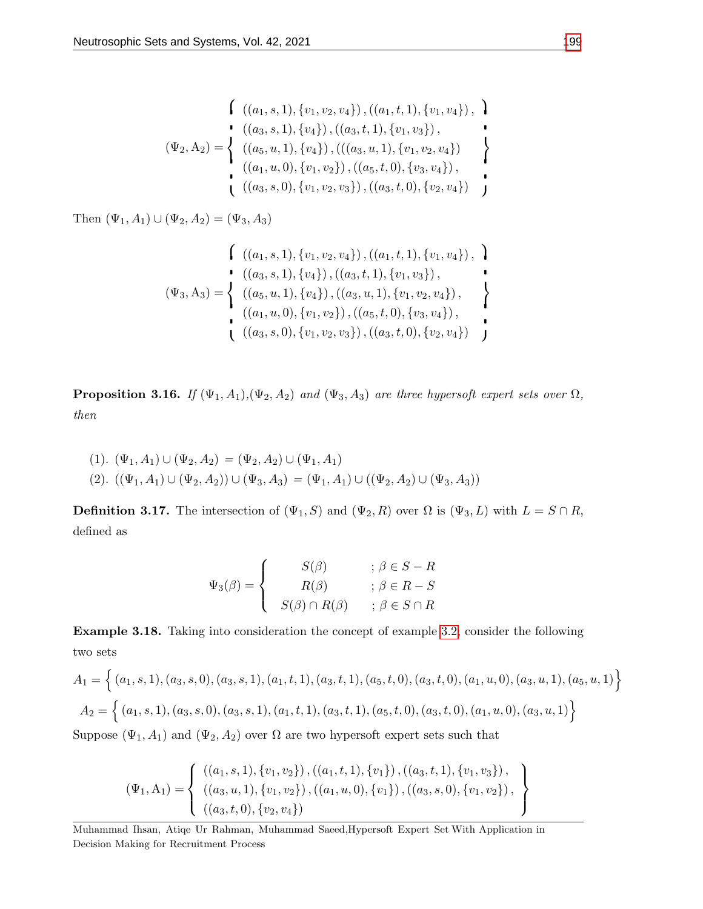$$
\begin{aligned}\n\left\{\n\begin{array}{c}\n((a_1, s, 1), \{v_1, v_2, v_4\}), ((a_1, t, 1), \{v_1, v_4\}), \\
((a_3, s, 1), \{v_4\}), ((a_3, t, 1), \{v_1, v_3\}), \\
((a_5, u, 1), \{v_4\}), ((a_3, u, 1), \{v_1, v_2, v_4\})\n\end{array}\n\right\} \\
\left\{\n\begin{array}{c}\n((a_1, u, 0), \{v_1, v_2\}), ((a_5, t, 0), \{v_3, v_4\}), \\
((a_3, s, 0), \{v_1, v_2, v_3\}), ((a_3, t, 0), \{v_2, v_4\})\n\end{array}\n\right\}\n\end{aligned}
$$

Then  $(\Psi_1, A_1) \cup (\Psi_2, A_2) = (\Psi_3, A_3)$ 

$$
\begin{aligned}\n\left\{\n\begin{array}{c}\n((a_1, s, 1), \{v_1, v_2, v_4\}), ((a_1, t, 1), \{v_1, v_4\}), \\
((a_3, s, 1), \{v_4\}), ((a_3, t, 1), \{v_1, v_3\}), \\
((a_5, u, 1), \{v_4\}), ((a_3, u, 1), \{v_1, v_2, v_4\}), \\
((a_1, u, 0), \{v_1, v_2\}), ((a_5, t, 0), \{v_3, v_4\}), \\
((a_3, s, 0), \{v_1, v_2, v_3\}), ((a_3, t, 0), \{v_2, v_4\})\n\end{array}\n\right\}\n\end{aligned}
$$

**Proposition 3.16.** If  $(\Psi_1, A_1), (\Psi_2, A_2)$  and  $(\Psi_3, A_3)$  are three hypersoft expert sets over  $\Omega$ , then

(1). 
$$
(\Psi_1, A_1) \cup (\Psi_2, A_2) = (\Psi_2, A_2) \cup (\Psi_1, A_1)
$$
  
(2).  $((\Psi_1, A_1) \cup (\Psi_2, A_2)) \cup (\Psi_3, A_3) = (\Psi_1, A_1) \cup ((\Psi_2, A_2) \cup (\Psi_3, A_3))$ 

**Definition 3.17.** The intersection of  $(\Psi_1, S)$  and  $(\Psi_2, R)$  over  $\Omega$  is  $(\Psi_3, L)$  with  $L = S \cap R$ , defined as

$$
\Psi_3(\beta) = \begin{cases}\nS(\beta) & ; \beta \in S - R \\
R(\beta) & ; \beta \in R - S \\
S(\beta) \cap R(\beta) & ; \beta \in S \cap R\n\end{cases}
$$

Example 3.18. Taking into consideration the concept of example [3.2,](#page-4-0) consider the following two sets

$$
A_1 = \left\{ (a_1, s, 1), (a_3, s, 0), (a_3, s, 1), (a_1, t, 1), (a_3, t, 1), (a_5, t, 0), (a_3, t, 0), (a_1, u, 0), (a_3, u, 1), (a_5, u, 1) \right\}
$$

$$
A_2 = \left\{ (a_1, s, 1), (a_3, s, 0), (a_3, s, 1), (a_1, t, 1), (a_3, t, 1), (a_5, t, 0), (a_3, t, 0), (a_1, u, 0), (a_3, u, 1) \right\}
$$

Suppose  $(\Psi_1, A_1)$  and  $(\Psi_2, A_2)$  over  $\Omega$  are two hypersoft expert sets such that

$$
(\Psi_1, A_1) = \left\{ \begin{array}{l} ((a_1, s, 1), \{v_1, v_2\}), ((a_1, t, 1), \{v_1\}), ((a_3, t, 1), \{v_1, v_3\}), \\ ((a_3, u, 1), \{v_1, v_2\}), ((a_1, u, 0), \{v_1\}), ((a_3, s, 0), \{v_1, v_2\}), \\ ((a_3, t, 0), \{v_2, v_4\}) \end{array} \right\}
$$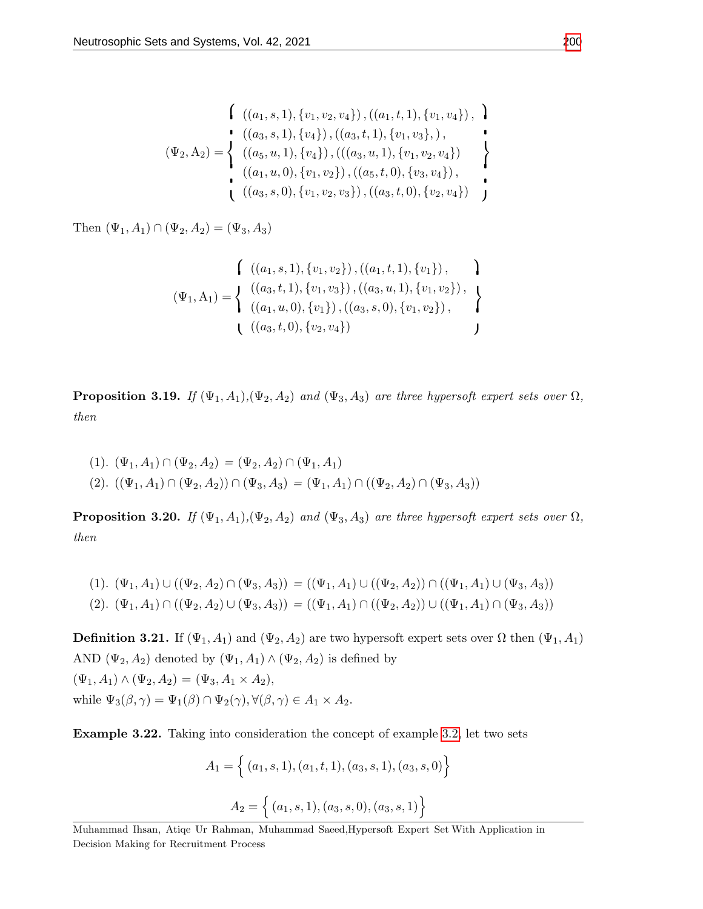$$
\begin{aligned}\n\left\{\n\begin{array}{c}\n((a_1, s, 1), \{v_1, v_2, v_4\}), ((a_1, t, 1), \{v_1, v_4\}), \\
((a_3, s, 1), \{v_4\}), ((a_3, t, 1), \{v_1, v_3\}),\n\end{array}\n\right\} \\
(\Psi_2, \Lambda_2) = \n\left\{\n\begin{array}{c}\n((a_5, u, 1), \{v_4\}), (((a_3, u, 1), \{v_1, v_2, v_4\}) \\
((a_1, u, 0), \{v_1, v_2\}), ((a_5, t, 0), \{v_3, v_4\}), \\
((a_3, s, 0), \{v_1, v_2, v_3\}), ((a_3, t, 0), \{v_2, v_4\})\n\end{array}\n\right\}\n\end{aligned}
$$

Then  $(\Psi_1, A_1) \cap (\Psi_2, A_2) = (\Psi_3, A_3)$ 

$$
\begin{aligned}\n\left\{\n\begin{array}{c}\n((a_1, s, 1), \{v_1, v_2\}), ((a_1, t, 1), \{v_1\}), \\
(\Psi_1, A_1) = \n\end{array}\n\right\} \\
(\Psi_2, A_2) = \n\left\{\n\begin{array}{c}\n((a_3, t, 1), \{v_1, v_3\}), ((a_3, u, 1), \{v_1, v_2\}), \\
((a_1, u, 0), \{v_1\}), ((a_3, s, 0), \{v_1, v_2\}), \\
((a_3, t, 0), \{v_2, v_4\})\n\end{array}\n\right\}\n\end{aligned}
$$

**Proposition 3.19.** If  $(\Psi_1, A_1), (\Psi_2, A_2)$  and  $(\Psi_3, A_3)$  are three hypersoft expert sets over  $\Omega$ , then

$$
(1). \ (\Psi_1, A_1) \cap (\Psi_2, A_2) = (\Psi_2, A_2) \cap (\Psi_1, A_1)
$$
  

$$
(2). \ ((\Psi_1, A_1) \cap (\Psi_2, A_2)) \cap (\Psi_3, A_3) = (\Psi_1, A_1) \cap ((\Psi_2, A_2) \cap (\Psi_3, A_3))
$$

**Proposition 3.20.** If  $(\Psi_1, A_1), (\Psi_2, A_2)$  and  $(\Psi_3, A_3)$  are three hypersoft expert sets over  $\Omega$ , then

$$
(1). \ (\Psi_1, A_1) \cup ((\Psi_2, A_2) \cap (\Psi_3, A_3)) = ((\Psi_1, A_1) \cup ((\Psi_2, A_2)) \cap ((\Psi_1, A_1) \cup (\Psi_3, A_3))
$$

$$
(2). \ (\Psi_1, A_1) \cap ((\Psi_2, A_2) \cup (\Psi_3, A_3)) = ((\Psi_1, A_1) \cap ((\Psi_2, A_2)) \cup ((\Psi_1, A_1) \cap (\Psi_3, A_3))
$$

**Definition 3.21.** If  $(\Psi_1, A_1)$  and  $(\Psi_2, A_2)$  are two hypersoft expert sets over  $\Omega$  then  $(\Psi_1, A_1)$ AND  $(\Psi_2, A_2)$  denoted by  $(\Psi_1, A_1) \wedge (\Psi_2, A_2)$  is defined by  $(\Psi_1, A_1) \wedge (\Psi_2, A_2) = (\Psi_3, A_1 \times A_2),$ while  $\Psi_3(\beta, \gamma) = \Psi_1(\beta) \cap \Psi_2(\gamma), \forall (\beta, \gamma) \in A_1 \times A_2.$ 

Example 3.22. Taking into consideration the concept of example [3.2,](#page-4-0) let two sets

$$
A_1 = \left\{ (a_1, s, 1), (a_1, t, 1), (a_3, s, 1), (a_3, s, 0) \right\}
$$

$$
A_2 = \left\{ (a_1, s, 1), (a_3, s, 0), (a_3, s, 1) \right\}
$$

Muhammad Ihsan, Atiqe Ur Rahman, Muhammad Saeed,Hypersoft Expert Set With Application in Decision Making for Recruitment Process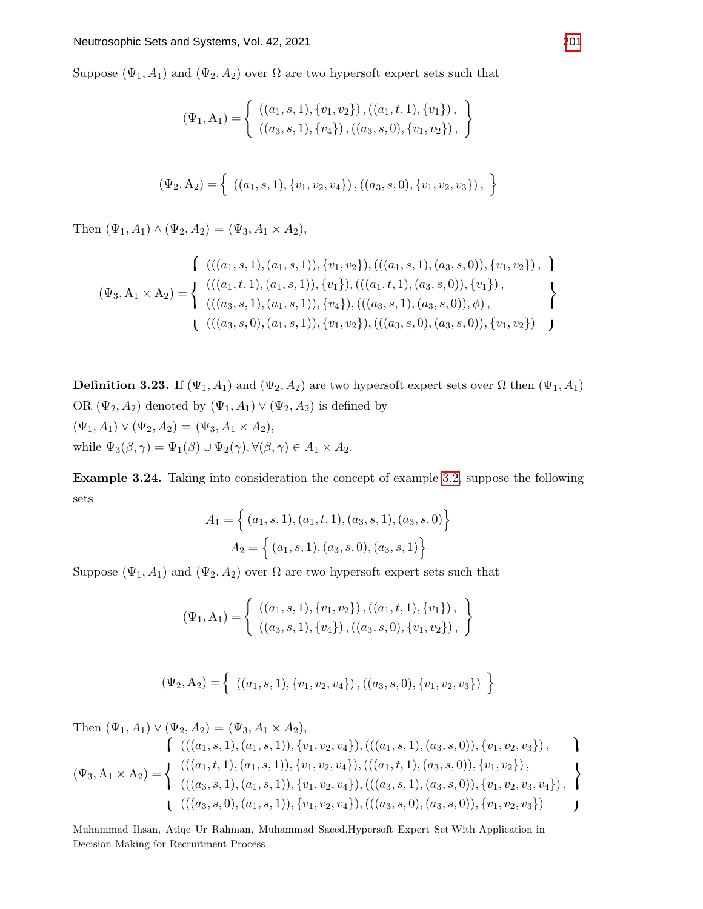Suppose  $(\Psi_1, A_1)$  and  $(\Psi_2, A_2)$  over  $\Omega$  are two hypersoft expert sets such that

$$
(\Psi_1, A_1) = \left\{ \begin{array}{l} ((a_1, s, 1), \{v_1, v_2\}), ((a_1, t, 1), \{v_1\}), \\ ((a_3, s, 1), \{v_4\}), ((a_3, s, 0), \{v_1, v_2\}), \end{array} \right\}
$$

$$
(\Psi_2, A_2) = \left\{ \left( (a_1, s, 1), \{v_1, v_2, v_4\} \right), \left( (a_3, s, 0), \{v_1, v_2, v_3\} \right), \right\}
$$

Then  $(\Psi_1, A_1) \wedge (\Psi_2, A_2) = (\Psi_3, A_1 \times A_2),$ 

$$
\begin{aligned}\n&\left(\begin{array}{c}\n((a_1, s, 1), (a_1, s, 1)), \{v_1, v_2\}, \left(\left((a_1, s, 1), (a_3, s, 0)\right), \{v_1, v_2\}\right), \; \mathbf{1} \\
(v_3, A_1 \times A_2)\n\end{array}\right) \\
&\left(\begin{array}{c}\n((a_1, t, 1), (a_1, s, 1)), \{v_1\}, \left(\left((a_1, t, 1), (a_3, s, 0)\right), \{v_1\}\right), \\
((a_3, s, 1), (a_1, s, 1)), \{v_4\}, \left(\left((a_3, s, 1), (a_3, s, 0)\right), \phi\right), \; \mathbf{1} \\
(\left((a_3, s, 0), (a_1, s, 1)\right), \{v_1, v_2\}, \left(\left((a_3, s, 0), (a_3, s, 0)\right), \{v_1, v_2\}\right)\right)\n\end{array}\right)\n\end{aligned}
$$

**Definition 3.23.** If  $(\Psi_1, A_1)$  and  $(\Psi_2, A_2)$  are two hypersoft expert sets over  $\Omega$  then  $(\Psi_1, A_1)$ OR  $(\Psi_2, A_2)$  denoted by  $(\Psi_1, A_1) \vee (\Psi_2, A_2)$  is defined by  $(\Psi_1, A_1) \vee (\Psi_2, A_2) = (\Psi_3, A_1 \times A_2),$ while  $\Psi_3(\beta, \gamma) = \Psi_1(\beta) \cup \Psi_2(\gamma), \forall (\beta, \gamma) \in A_1 \times A_2.$ 

Example 3.24. Taking into consideration the concept of example [3.2,](#page-4-0) suppose the following sets

$$
A_1 = \left\{ (a_1, s, 1), (a_1, t, 1), (a_3, s, 1), (a_3, s, 0) \right\}
$$

$$
A_2 = \left\{ (a_1, s, 1), (a_3, s, 0), (a_3, s, 1) \right\}
$$

Suppose  $(\Psi_1, A_1)$  and  $(\Psi_2, A_2)$  over  $\Omega$  are two hypersoft expert sets such that

$$
(\Psi_1, A_1) = \left\{ \begin{array}{c} ((a_1, s, 1), \{v_1, v_2\}), ((a_1, t, 1), \{v_1\}), \\ ((a_3, s, 1), \{v_4\}), ((a_3, s, 0), \{v_1, v_2\}), \end{array} \right\}
$$

$$
(\Psi_2, A_2) = \left\{ \left( (a_1, s, 1), \{v_1, v_2, v_4\} \right), \left( (a_3, s, 0), \{v_1, v_2, v_3\} \right) \right\}
$$

Then 
$$
(\Psi_1, A_1) \vee (\Psi_2, A_2) = (\Psi_3, A_1 \times A_2),
$$
  
\n
$$
\begin{cases}\n(((a_1, s, 1), (a_1, s, 1)), \{v_1, v_2, v_4\}), (((a_1, s, 1), (a_3, s, 0)), \{v_1, v_2, v_3\}), \\
(\Psi_3, A_1 \times A_2) = \begin{cases}\n(((a_1, t, 1), (a_1, s, 1)), \{v_1, v_2, v_4\}), (((a_1, t, 1), (a_3, s, 0)), \{v_1, v_2\}, \\
(((a_3, s, 1), (a_1, s, 1)), \{v_1, v_2, v_4\}), (((a_3, s, 1), (a_3, s, 0)), \{v_1, v_2, v_3, v_4\}), \\
((a_3, s, 0), (a_1, s, 1)), \{v_1, v_2, v_4\}), (((a_3, s, 0), (a_3, s, 0)), \{v_1, v_2, v_3\})\n\end{cases}
$$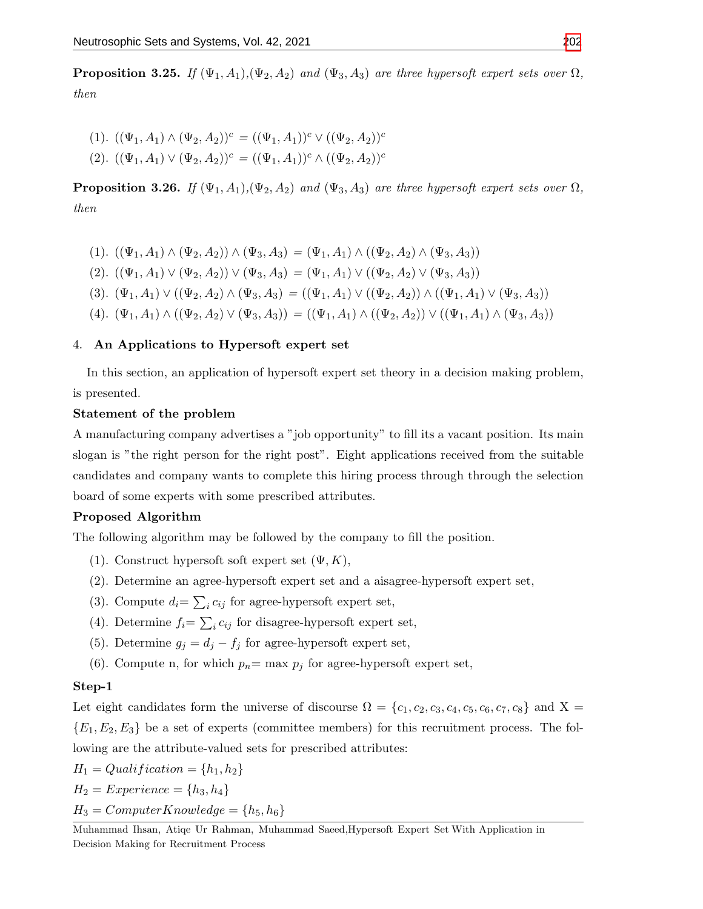**Proposition 3.25.** If  $(\Psi_1, A_1), (\Psi_2, A_2)$  and  $(\Psi_3, A_3)$  are three hypersoft expert sets over  $\Omega$ , then

$$
(1). ((\Psi_1, A_1) \wedge (\Psi_2, A_2))^c = ((\Psi_1, A_1))^c \vee ((\Psi_2, A_2))^c
$$
  

$$
(2). ((\Psi_1, A_1) \vee (\Psi_2, A_2))^c = ((\Psi_1, A_1))^c \wedge ((\Psi_2, A_2))^c
$$

**Proposition 3.26.** If  $(\Psi_1, A_1), (\Psi_2, A_2)$  and  $(\Psi_3, A_3)$  are three hypersoft expert sets over  $\Omega$ , then

(1).  $((\Psi_1, A_1) \wedge (\Psi_2, A_2)) \wedge (\Psi_3, A_3) = (\Psi_1, A_1) \wedge ((\Psi_2, A_2) \wedge (\Psi_3, A_3))$ (2).  $((\Psi_1, A_1) \vee (\Psi_2, A_2)) \vee (\Psi_3, A_3) = (\Psi_1, A_1) \vee ((\Psi_2, A_2) \vee (\Psi_3, A_3))$ (3).  $(\Psi_1, A_1) \vee ((\Psi_2, A_2) \wedge (\Psi_3, A_3) = ((\Psi_1, A_1) \vee ((\Psi_2, A_2)) \wedge ((\Psi_1, A_1) \vee (\Psi_3, A_3))$ (4).  $(\Psi_1, A_1) \wedge ((\Psi_2, A_2) \vee (\Psi_3, A_3)) = ((\Psi_1, A_1) \wedge ((\Psi_2, A_2)) \vee ((\Psi_1, A_1) \wedge (\Psi_3, A_3))$ 

## 4. An Applications to Hypersoft expert set

In this section, an application of hypersoft expert set theory in a decision making problem, is presented.

#### Statement of the problem

A manufacturing company advertises a "job opportunity" to fill its a vacant position. Its main slogan is "the right person for the right post". Eight applications received from the suitable candidates and company wants to complete this hiring process through through the selection board of some experts with some prescribed attributes.

# Proposed Algorithm

The following algorithm may be followed by the company to fill the position.

- (1). Construct hypersoft soft expert set  $(\Psi, K)$ ,
- (2). Determine an agree-hypersoft expert set and a aisagree-hypersoft expert set,
- (3). Compute  $d_i = \sum_i c_{ij}$  for agree-hypersoft expert set,
- (4). Determine  $f_i = \sum_i c_{ij}$  for disagree-hypersoft expert set,
- (5). Determine  $g_j = d_j f_j$  for agree-hypersoft expert set,
- (6). Compute n, for which  $p_n = \max p_j$  for agree-hypersoft expert set,

#### Step-1

Let eight candidates form the universe of discourse  $\Omega = \{c_1, c_2, c_3, c_4, c_5, c_6, c_7, c_8\}$  and  $X =$  ${E_1, E_2, E_3}$  be a set of experts (committee members) for this recruitment process. The following are the attribute-valued sets for prescribed attributes:

$$
H_1 = Qualification = \{h_1, h_2\}
$$
  
\n
$$
H_2 = Experience = \{h_3, h_4\}
$$
  
\n
$$
H_3 = ComputerKnowledge = \{h_5, h_6\}
$$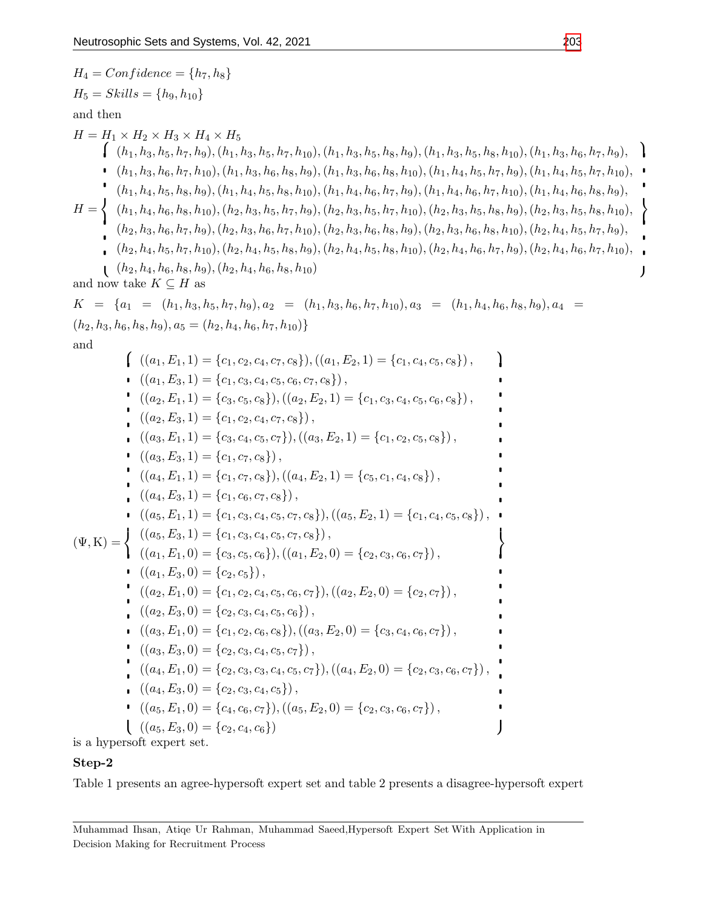$$
H_{4} = Confidence = \{h_{7}, h_{8}\}
$$
\n
$$
H_{5} = Skills = \{h_{9}, h_{10}\}
$$
\nand then\n
$$
H = H_{1} \times H_{2} \times H_{3} \times H_{4} \times H_{5}
$$
\n
$$
H = H_{1} \times H_{2} \times H_{3} \times H_{4} \times H_{5}
$$
\n
$$
\left\{ (h_{1}, h_{3}, h_{5}, h_{7}, h_{10}), (h_{1}, h_{3}, h_{5}, h_{7}, h_{10}), (h_{1}, h_{3}, h_{5}, h_{5}, h_{5}, h_{5}), (h_{1}, h_{3}, h_{5}, h_{5}, h_{5}, h_{5}), (h_{1}, h_{5}, h_{5}, h_{5}, h_{5}, h_{5}, h_{5}), (h_{1}, h_{5}, h_{5}, h_{5}, h_{5}, h_{5}, h_{5}), (h_{1}, h_{5}, h_{5}, h_{5}, h_{5}, h_{5}), (h_{1}, h_{5}, h_{5}, h_{5}, h_{5}), (h_{1}, h_{5}, h_{5}, h_{5}, h_{5}), (h_{1}, h_{5}, h_{5}, h_{5}, h_{5}), (h_{1}, h_{5}, h_{5}, h_{5}, h_{5}), (h_{1}, h_{5}, h_{5}, h_{5}, h_{5}), (h_{2}, h_{3}, h_{5}, h_{5}, h_{5}), (h_{2}, h_{3}, h_{5}, h_{5}, h_{5}), (h_{2}, h_{3}, h_{5}, h_{5}, h_{5}), (h_{2}, h_{3}, h_{5}, h_{5}, h_{5}), (h_{2}, h_{3}, h_{5}, h_{5}, h_{5}), (h_{2}, h_{3}, h_{5}, h_{5}, h_{5}), (h_{2}, h_{3}, h_{5}, h_{5}), (h_{2}, h_{3}, h_{5}, h_{5}), (h_{2}, h_{3}, h_{5}, h_{5}), (h_{2}, h_{3}, h_{5}, h_{5}), (h_{2}, h_{3}, h_{5}, h_{5}), (h_{2}, h_{3}, h_{5}, h_{5}), (h_{2}, h_{3}, h_{5}, h_{5}), (h_{2}, h_{3}, h_{5}, h_{5}), (h_{2}, h_{3}, h_{5}, h_{5}), (h_{2}, h_{3}, h_{5}, h_{5}), (h_{2}, h_{3}, h_{5}, h_{5}), (h_{2}, h_{3}, h_{5}, h_{5}), (h_{2}, h
$$

is a hypersoft expert set.

# Step-2

Table 1 presents an agree-hypersoft expert set and table 2 presents a disagree-hypersoft expert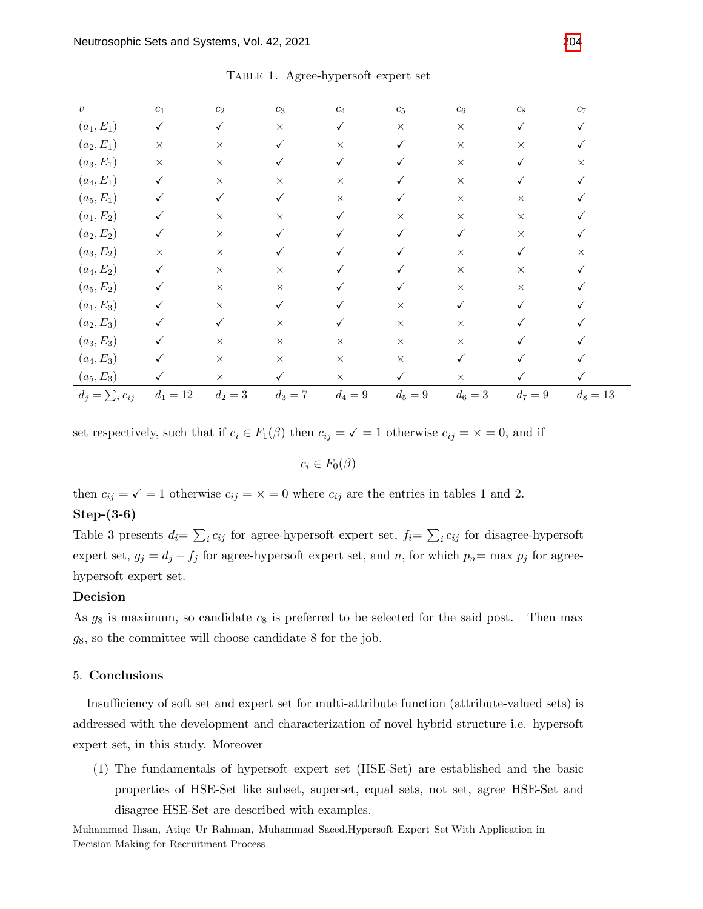| $\boldsymbol{v}$      | $\mathfrak{c}_1$ | $\mathfrak{c}_2$ | $\mathfrak{c}_3$ | $\mathfrak{c}_4$ | $\mathfrak{c}_5$ | $\mathfrak{c}_6$ | $c_{\rm 8}$  | $c_7\,$    |
|-----------------------|------------------|------------------|------------------|------------------|------------------|------------------|--------------|------------|
| $(a_1, E_1)$          | $\checkmark$     | $\checkmark$     | $\times$         | $\checkmark$     | $\times$         | $\times$         | $\checkmark$ | ✓          |
| $(a_2, E_1)$          | $\times$         | $\times$         | $\checkmark$     | $\times$         | $\checkmark$     | $\times$         | $\times$     |            |
| $(a_3, E_1)$          | $\times$         | $\times$         | ✓                | $\checkmark$     |                  | $\times$         |              | $\times$   |
| $(a_4, E_1)$          | $\checkmark$     | $\times$         | $\times$         | $\times$         |                  | $\times$         |              |            |
| $(a_5, E_1)$          | $\checkmark$     | $\checkmark$     | $\checkmark$     | $\times$         |                  | $\times$         | $\times$     |            |
| $(a_1, E_2)$          | $\checkmark$     | $\times$         | $\times$         | ✓                | $\times$         | $\times$         | $\times$     |            |
| $(a_2, E_2)$          | ✓                | $\times$         | ✓                |                  | ✓                | $\checkmark$     | $\times$     |            |
| $(a_3, E_2)$          | $\times$         | $\times$         |                  |                  |                  | $\times$         | ✓            | $\times$   |
| $(a_4, E_2)$          | $\checkmark$     | $\times$         | $\times$         |                  |                  | $\times$         | $\times$     |            |
| $(a_5, E_2)$          | ✓                | $\times$         | $\times$         |                  |                  | $\times$         | $\times$     |            |
| $(a_1, E_3)$          | ✓                | $\times$         | $\checkmark$     |                  | $\times$         | ✓                |              |            |
| $(a_2, E_3)$          | ✓                | $\checkmark$     | $\times$         |                  | $\times$         | $\times$         |              |            |
| $(a_3, E_3)$          | ✓                | $\times$         | $\times$         | $\times$         | $\times$         | $\times$         |              |            |
| $(a_4, E_3)$          | ✓                | $\times$         | $\times$         | $\times$         | $\times$         | $\checkmark$     |              |            |
| $(a_5, E_3)$          | ✓                | $\times$         | $\checkmark$     | $\times$         | $\checkmark$     | $\times$         | ✓            |            |
| $d_j = \sum_i c_{ij}$ | $d_1 = 12$       | $d_2=3$          | $d_3 = 7$        | $d_4=9$          | $d_5 = 9$        | $d_6 = 3$        | $d_7 = 9$    | $d_8 = 13$ |

Table 1. Agree-hypersoft expert set

set respectively, such that if  $c_i \in F_1(\beta)$  then  $c_{ij} = \sqrt{1 - 1}$  otherwise  $c_{ij} = \sqrt{1 - 1}$ , and if

 $c_i \in F_0(\beta)$ 

then  $c_{ij} = \sqrt{2} = 1$  otherwise  $c_{ij} = \sqrt{2} = 0$  where  $c_{ij}$  are the entries in tables 1 and 2.

#### Step-(3-6)

Table 3 presents  $d_i = \sum_i c_{ij}$  for agree-hypersoft expert set,  $f_i = \sum_i c_{ij}$  for disagree-hypersoft expert set,  $g_j = d_j - f_j$  for agree-hypersoft expert set, and n, for which  $p_n = \max p_j$  for agreehypersoft expert set.

#### Decision

As  $g_8$  is maximum, so candidate  $c_8$  is preferred to be selected for the said post. Then max  $g_8$ , so the committee will choose candidate 8 for the job.

#### 5. Conclusions

Insufficiency of soft set and expert set for multi-attribute function (attribute-valued sets) is addressed with the development and characterization of novel hybrid structure i.e. hypersoft expert set, in this study. Moreover

(1) The fundamentals of hypersoft expert set (HSE-Set) are established and the basic properties of HSE-Set like subset, superset, equal sets, not set, agree HSE-Set and disagree HSE-Set are described with examples.

Muhammad Ihsan, Atiqe Ur Rahman, Muhammad Saeed,Hypersoft Expert Set With Application in Decision Making for Recruitment Process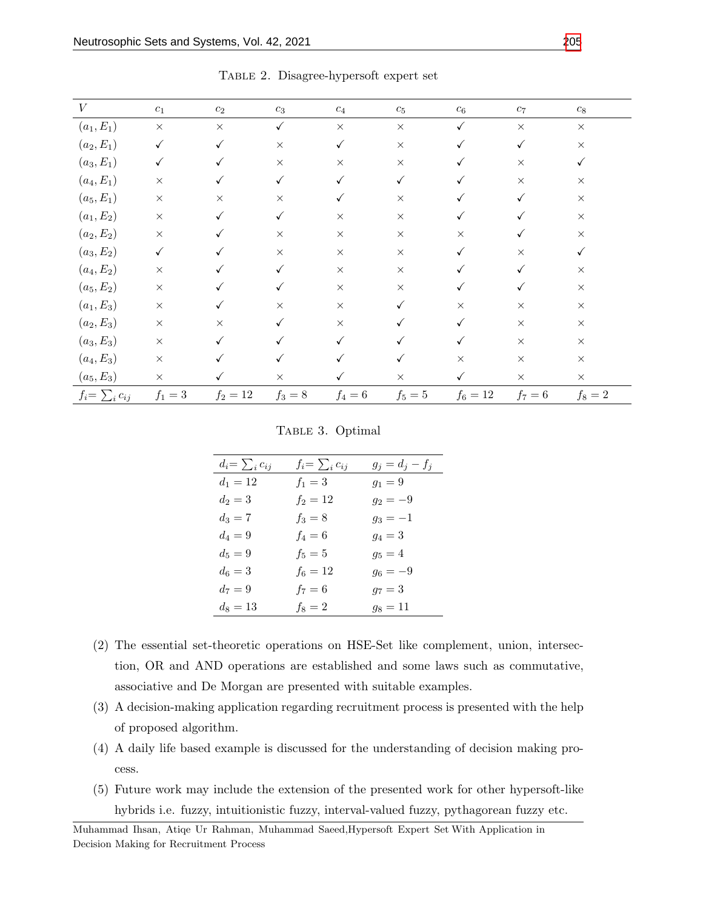| V                     | $\mathfrak{c}_1$ | $\mathfrak{c}_2$ | $\mathfrak{c}_3$ | $\mathfrak{c}_4$ | $\mathfrak{C}_5$ | $c_{\rm 6}$  | $c_7$        | $c_{\rm 8}$ |
|-----------------------|------------------|------------------|------------------|------------------|------------------|--------------|--------------|-------------|
| $(a_1, E_1)$          | $\times$         | $\times$         | $\checkmark$     | $\times$         | $\times$         | $\checkmark$ | $\times$     | $\times$    |
| $(a_2, E_1)$          | $\checkmark$     | $\checkmark$     | $\times$         | $\checkmark$     | $\times$         |              | $\checkmark$ | $\times$    |
| $(a_3, E_1)$          | $\checkmark$     | $\checkmark$     | $\times$         | $\times$         | $\times$         |              | $\times$     |             |
| $(a_4, E_1)$          | $\times$         | ✓                | $\checkmark$     |                  | $\checkmark$     |              | $\times$     | $\times$    |
| $(a_5, E_1)$          | $\times$         | $\times$         | $\times$         |                  | $\times$         |              |              | $\times$    |
| $(a_1, E_2)$          | $\times$         |                  | $\checkmark$     | $\times$         | $\times$         |              |              | $\times$    |
| $(a_2, E_2)$          | $\times$         |                  | $\times$         | $\times$         | $\times$         | $\times$     |              | $\times$    |
| $(a_3, E_2)$          | $\checkmark$     |                  | $\times$         | $\times$         | $\times$         |              | $\times$     | ✓           |
| $(a_4, E_2)$          | $\times$         |                  | $\checkmark$     | $\times$         | $\times$         |              |              | $\times$    |
| $(a_5, E_2)$          | $\times$         |                  | ✓                | $\times$         | $\times$         |              |              | $\times$    |
| $(a_1, E_3)$          | $\times$         | ✓                | $\times$         | $\times$         | ✓                | $\times$     | $\times$     | $\times$    |
| $(a_2, E_3)$          | $\times$         | $\times$         | $\checkmark$     | $\times$         |                  |              | $\times$     | $\times$    |
| $(a_3, E_3)$          | $\times$         |                  |                  |                  |                  |              | $\times$     | $\times$    |
| $(a_4, E_3)$          | $\times$         |                  |                  |                  |                  | $\times$     | $\times$     | $\times$    |
| $(a_5, E_3)$          | $\times$         | ✓                | $\times$         |                  | $\times$         | $\checkmark$ | $\times$     | $\times$    |
| $f_i = \sum_i c_{ij}$ | $f_1=3$          | $f_2 = 12$       | $f_3 = 8$        | $f_4=6$          | $f_5=5$          | $f_6 = 12$   | $f_7=6$      | $f_8=2$     |

Table 2. Disagree-hypersoft expert set

#### TABLE 3. Optimal

| $d_i = \sum_i c_{ij}$ | $f_i = \sum_i c_{ij}$ | $g_j = d_j - f_j$ |
|-----------------------|-----------------------|-------------------|
| $d_1 = 12$            | $f_1 = 3$             | $g_1 = 9$         |
| $d_2 = 3$             | $f_2 = 12$            | $g_2 = -9$        |
| $d_3 = 7$             | $f_3 = 8$             | $g_3 = -1$        |
| $d_4 = 9$             | $f_4 = 6$             | $g_4 = 3$         |
| $d_5 = 9$             | $f_5 = 5$             | $g_5 = 4$         |
| $d_6 = 3$             | $f_6 = 12$            | $g_6 = -9$        |
| $d_7 = 9$             | $f_7 = 6$             | $g_7 = 3$         |
| $d_8 = 13$            | $f_8 = 2$             | $g_8 = 11$        |

- (2) The essential set-theoretic operations on HSE-Set like complement, union, intersection, OR and AND operations are established and some laws such as commutative, associative and De Morgan are presented with suitable examples.
- (3) A decision-making application regarding recruitment process is presented with the help of proposed algorithm.
- (4) A daily life based example is discussed for the understanding of decision making process.
- (5) Future work may include the extension of the presented work for other hypersoft-like hybrids i.e. fuzzy, intuitionistic fuzzy, interval-valued fuzzy, pythagorean fuzzy etc.

Muhammad Ihsan, Atiqe Ur Rahman, Muhammad Saeed,Hypersoft Expert Set With Application in Decision Making for Recruitment Process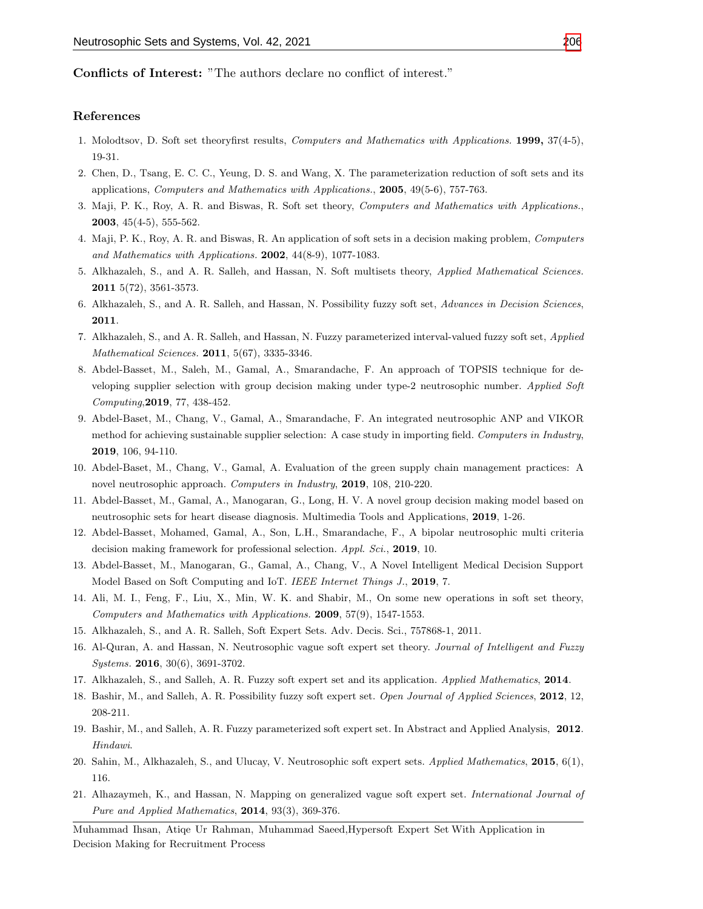Conflicts of Interest: "The authors declare no conflict of interest."

#### References

- <span id="page-15-0"></span>1. Molodtsov, D. Soft set theoryfirst results, Computers and Mathematics with Applications. 1999, 37(4-5), 19-31.
- <span id="page-15-1"></span>2. Chen, D., Tsang, E. C. C., Yeung, D. S. and Wang, X. The parameterization reduction of soft sets and its applications, Computers and Mathematics with Applications., 2005, 49(5-6), 757-763.
- <span id="page-15-10"></span>3. Maji, P. K., Roy, A. R. and Biswas, R. Soft set theory, Computers and Mathematics with Applications., 2003, 45(4-5), 555-562.
- 4. Maji, P. K., Roy, A. R. and Biswas, R. An application of soft sets in a decision making problem, Computers and Mathematics with Applications. 2002, 44(8-9), 1077-1083.
- 5. Alkhazaleh, S., and A. R. Salleh, and Hassan, N. Soft multisets theory, Applied Mathematical Sciences. 2011 5(72), 3561-3573.
- 6. Alkhazaleh, S., and A. R. Salleh, and Hassan, N. Possibility fuzzy soft set, Advances in Decision Sciences, 2011.
- 7. Alkhazaleh, S., and A. R. Salleh, and Hassan, N. Fuzzy parameterized interval-valued fuzzy soft set, Applied Mathematical Sciences. 2011, 5(67), 3335-3346.
- 8. Abdel-Basset, M., Saleh, M., Gamal, A., Smarandache, F. An approach of TOPSIS technique for developing supplier selection with group decision making under type-2 neutrosophic number. Applied Soft Computing,2019, 77, 438-452.
- 9. Abdel-Baset, M., Chang, V., Gamal, A., Smarandache, F. An integrated neutrosophic ANP and VIKOR method for achieving sustainable supplier selection: A case study in importing field. Computers in Industry, 2019, 106, 94-110.
- 10. Abdel-Baset, M., Chang, V., Gamal, A. Evaluation of the green supply chain management practices: A novel neutrosophic approach. Computers in Industry, 2019, 108, 210-220.
- 11. Abdel-Basset, M., Gamal, A., Manogaran, G., Long, H. V. A novel group decision making model based on neutrosophic sets for heart disease diagnosis. Multimedia Tools and Applications, 2019, 1-26.
- 12. Abdel-Basset, Mohamed, Gamal, A., Son, L.H., Smarandache, F., A bipolar neutrosophic multi criteria decision making framework for professional selection. Appl. Sci., 2019, 10.
- <span id="page-15-2"></span>13. Abdel-Basset, M., Manogaran, G., Gamal, A., Chang, V., A Novel Intelligent Medical Decision Support Model Based on Soft Computing and IoT. IEEE Internet Things J., 2019, 7.
- <span id="page-15-11"></span>14. Ali, M. I., Feng, F., Liu, X., Min, W. K. and Shabir, M., On some new operations in soft set theory, Computers and Mathematics with Applications. 2009, 57(9), 1547-1553.
- <span id="page-15-3"></span>15. Alkhazaleh, S., and A. R. Salleh, Soft Expert Sets. Adv. Decis. Sci., 757868-1, 2011.
- <span id="page-15-4"></span>16. Al-Quran, A. and Hassan, N. Neutrosophic vague soft expert set theory. Journal of Intelligent and Fuzzy Systems. 2016, 30(6), 3691-3702.
- <span id="page-15-5"></span>17. Alkhazaleh, S., and Salleh, A. R. Fuzzy soft expert set and its application. Applied Mathematics, 2014.
- <span id="page-15-6"></span>18. Bashir, M., and Salleh, A. R. Possibility fuzzy soft expert set. Open Journal of Applied Sciences, 2012, 12, 208-211.
- <span id="page-15-7"></span>19. Bashir, M., and Salleh, A. R. Fuzzy parameterized soft expert set. In Abstract and Applied Analysis, 2012. Hindawi.
- <span id="page-15-8"></span>20. Sahin, M., Alkhazaleh, S., and Ulucay, V. Neutrosophic soft expert sets. Applied Mathematics, 2015, 6(1), 116.
- <span id="page-15-9"></span>21. Alhazaymeh, K., and Hassan, N. Mapping on generalized vague soft expert set. International Journal of Pure and Applied Mathematics, 2014, 93(3), 369-376.